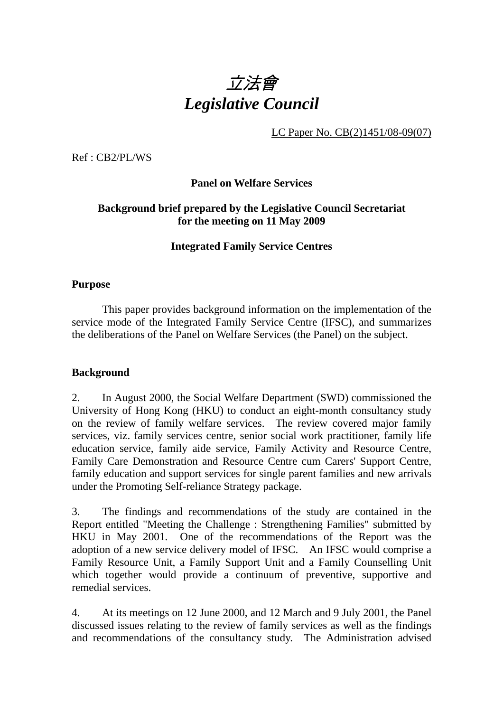

LC Paper No. CB(2)1451/08-09(07)

Ref : CB2/PL/WS

**Panel on Welfare Services** 

# **Background brief prepared by the Legislative Council Secretariat for the meeting on 11 May 2009**

### **Integrated Family Service Centres**

### **Purpose**

This paper provides background information on the implementation of the service mode of the Integrated Family Service Centre (IFSC), and summarizes the deliberations of the Panel on Welfare Services (the Panel) on the subject.

#### **Background**

2. In August 2000, the Social Welfare Department (SWD) commissioned the University of Hong Kong (HKU) to conduct an eight-month consultancy study on the review of family welfare services. The review covered major family services, viz. family services centre, senior social work practitioner, family life education service, family aide service, Family Activity and Resource Centre, Family Care Demonstration and Resource Centre cum Carers' Support Centre, family education and support services for single parent families and new arrivals under the Promoting Self-reliance Strategy package.

3. The findings and recommendations of the study are contained in the Report entitled "Meeting the Challenge : Strengthening Families" submitted by HKU in May 2001. One of the recommendations of the Report was the adoption of a new service delivery model of IFSC. An IFSC would comprise a Family Resource Unit, a Family Support Unit and a Family Counselling Unit which together would provide a continuum of preventive, supportive and remedial services.

4. At its meetings on 12 June 2000, and 12 March and 9 July 2001, the Panel discussed issues relating to the review of family services as well as the findings and recommendations of the consultancy study. The Administration advised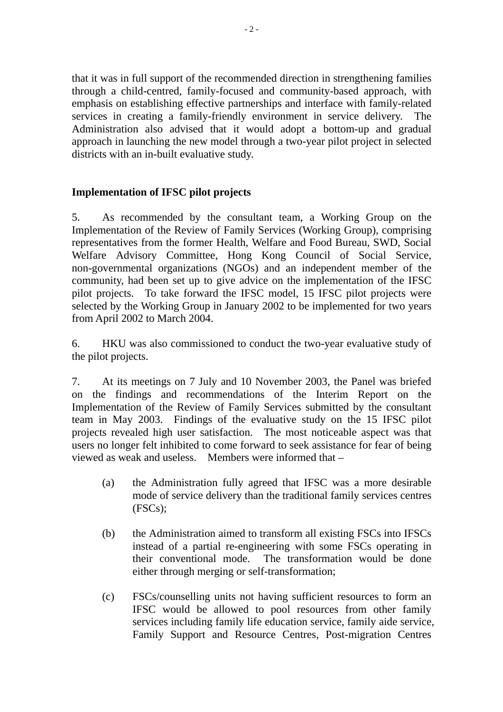that it was in full support of the recommended direction in strengthening families through a child-centred, family-focused and community-based approach, with emphasis on establishing effective partnerships and interface with family-related services in creating a family-friendly environment in service delivery. Administration also advised that it would adopt a bottom-up and gradual approach in launching the new model through a two-year pilot project in selected districts with an in-built evaluative study.

# **Implementation of IFSC pilot projects**

5. As recommended by the consultant team, a Working Group on the Implementation of the Review of Family Services (Working Group), comprising representatives from the former Health, Welfare and Food Bureau, SWD, Social Welfare Advisory Committee, Hong Kong Council of Social Service, non-governmental organizations (NGOs) and an independent member of the community, had been set up to give advice on the implementation of the IFSC pilot projects. To take forward the IFSC model, 15 IFSC pilot projects were selected by the Working Group in January 2002 to be implemented for two years from April 2002 to March 2004.

6. HKU was also commissioned to conduct the two-year evaluative study of the pilot projects.

7. At its meetings on 7 July and 10 November 2003, the Panel was briefed on the findings and recommendations of the Interim Report on the Implementation of the Review of Family Services submitted by the consultant team in May 2003. Findings of the evaluative study on the 15 IFSC pilot projects revealed high user satisfaction. The most noticeable aspect was that users no longer felt inhibited to come forward to seek assistance for fear of being viewed as weak and useless. Members were informed that –

- (a) the Administration fully agreed that IFSC was a more desirable mode of service delivery than the traditional family services centres (FSCs);
- (b) the Administration aimed to transform all existing FSCs into IFSCs instead of a partial re-engineering with some FSCs operating in their conventional mode. The transformation would be done either through merging or self-transformation;
- (c) FSCs/counselling units not having sufficient resources to form an IFSC would be allowed to pool resources from other family services including family life education service, family aide service, Family Support and Resource Centres, Post-migration Centres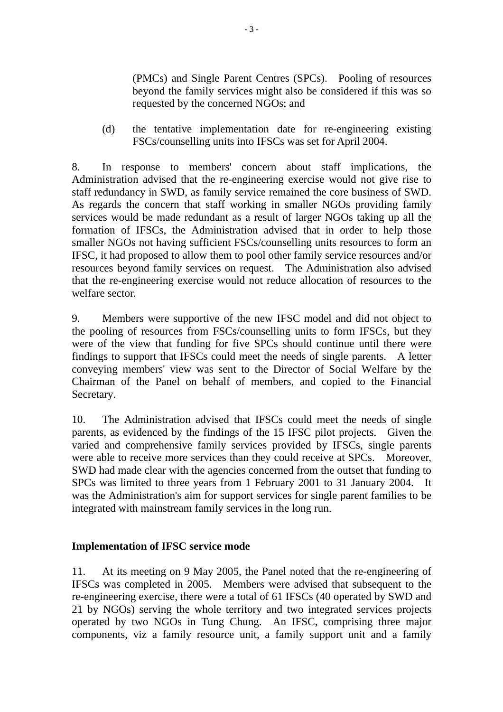(PMCs) and Single Parent Centres (SPCs). Pooling of resources beyond the family services might also be considered if this was so requested by the concerned NGOs; and

(d) the tentative implementation date for re-engineering existing FSCs/counselling units into IFSCs was set for April 2004.

8. In response to members' concern about staff implications, the Administration advised that the re-engineering exercise would not give rise to staff redundancy in SWD, as family service remained the core business of SWD. As regards the concern that staff working in smaller NGOs providing family services would be made redundant as a result of larger NGOs taking up all the formation of IFSCs, the Administration advised that in order to help those smaller NGOs not having sufficient FSCs/counselling units resources to form an IFSC, it had proposed to allow them to pool other family service resources and/or resources beyond family services on request. The Administration also advised that the re-engineering exercise would not reduce allocation of resources to the welfare sector.

9. Members were supportive of the new IFSC model and did not object to the pooling of resources from FSCs/counselling units to form IFSCs, but they were of the view that funding for five SPCs should continue until there were findings to support that IFSCs could meet the needs of single parents. A letter conveying members' view was sent to the Director of Social Welfare by the Chairman of the Panel on behalf of members, and copied to the Financial Secretary.

10. The Administration advised that IFSCs could meet the needs of single parents, as evidenced by the findings of the 15 IFSC pilot projects. Given the varied and comprehensive family services provided by IFSCs, single parents were able to receive more services than they could receive at SPCs. Moreover, SWD had made clear with the agencies concerned from the outset that funding to SPCs was limited to three years from 1 February 2001 to 31 January 2004. It was the Administration's aim for support services for single parent families to be integrated with mainstream family services in the long run.

# **Implementation of IFSC service mode**

11. At its meeting on 9 May 2005, the Panel noted that the re-engineering of IFSCs was completed in 2005. Members were advised that subsequent to the re-engineering exercise, there were a total of 61 IFSCs (40 operated by SWD and 21 by NGOs) serving the whole territory and two integrated services projects operated by two NGOs in Tung Chung. An IFSC, comprising three major components, viz a family resource unit, a family support unit and a family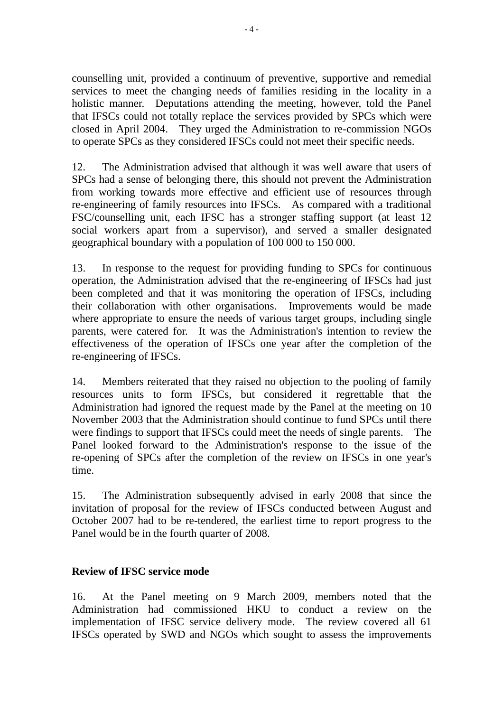counselling unit, provided a continuum of preventive, supportive and remedial services to meet the changing needs of families residing in the locality in a holistic manner. Deputations attending the meeting, however, told the Panel that IFSCs could not totally replace the services provided by SPCs which were closed in April 2004. They urged the Administration to re-commission NGOs to operate SPCs as they considered IFSCs could not meet their specific needs.

12. The Administration advised that although it was well aware that users of SPCs had a sense of belonging there, this should not prevent the Administration from working towards more effective and efficient use of resources through re-engineering of family resources into IFSCs. As compared with a traditional FSC/counselling unit, each IFSC has a stronger staffing support (at least 12 social workers apart from a supervisor), and served a smaller designated geographical boundary with a population of 100,000 to 150,000.

13. In response to the request for providing funding to SPCs for continuous operation, the Administration advised that the re-engineering of IFSCs had just been completed and that it was monitoring the operation of IFSCs, including their collaboration with other organisations. Improvements would be made where appropriate to ensure the needs of various target groups, including single parents, were catered for. It was the Administration's intention to review the effectiveness of the operation of IFSCs one year after the completion of the re-engineering of IFSCs.

14. Members reiterated that they raised no objection to the pooling of family resources units to form IFSCs, but considered it regrettable that the Administration had ignored the request made by the Panel at the meeting on 10 November 2003 that the Administration should continue to fund SPCs until there were findings to support that IFSCs could meet the needs of single parents. The Panel looked forward to the Administration's response to the issue of the re-opening of SPCs after the completion of the review on IFSCs in one year's time.

15. The Administration subsequently advised in early 2008 that since the invitation of proposal for the review of IFSCs conducted between August and October 2007 had to be re-tendered, the earliest time to report progress to the Panel would be in the fourth quarter of 2008.

# **Review of IFSC service mode**

16. At the Panel meeting on 9 March 2009, members noted that the Administration had commissioned HKU to conduct a review on the implementation of IFSC service delivery mode. The review covered all 61 IFSCs operated by SWD and NGOs which sought to assess the improvements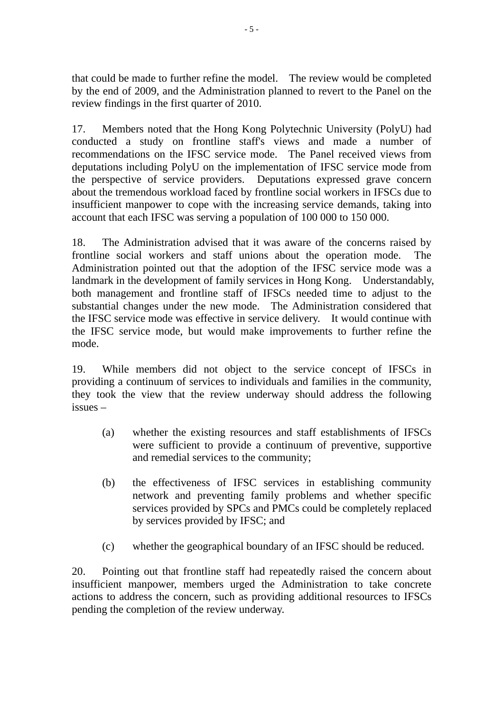that could be made to further refine the model. The review would be completed by the end of 2009, and the Administration planned to revert to the Panel on the review findings in the first quarter of 2010.

17. Members noted that the Hong Kong Polytechnic University (PolyU) had conducted a study on frontline staff's views and made a number of recommendations on the IFSC service mode. The Panel received views from deputations including PolyU on the implementation of IFSC service mode from the perspective of service providers. Deputations expressed grave concern about the tremendous workload faced by frontline social workers in IFSCs due to insufficient manpower to cope with the increasing service demands, taking into account that each IFSC was serving a population of 100,000 to 150,000.

18. The Administration advised that it was aware of the concerns raised by frontline social workers and staff unions about the operation mode. The Administration pointed out that the adoption of the IFSC service mode was a landmark in the development of family services in Hong Kong. Understandably, both management and frontline staff of IFSCs needed time to adjust to the substantial changes under the new mode. The Administration considered that the IFSC service mode was effective in service delivery. It would continue with the IFSC service mode, but would make improvements to further refine the mode.

19. While members did not object to the service concept of IFSCs in providing a continuum of services to individuals and families in the community, they took the view that the review underway should address the following issues –

- (a) whether the existing resources and staff establishments of IFSCs were sufficient to provide a continuum of preventive, supportive and remedial services to the community;
- (b) the effectiveness of IFSC services in establishing community network and preventing family problems and whether specific services provided by SPCs and PMCs could be completely replaced by services provided by IFSC; and
- (c) whether the geographical boundary of an IFSC should be reduced.

20. Pointing out that frontline staff had repeatedly raised the concern about insufficient manpower, members urged the Administration to take concrete actions to address the concern, such as providing additional resources to IFSCs pending the completion of the review underway.